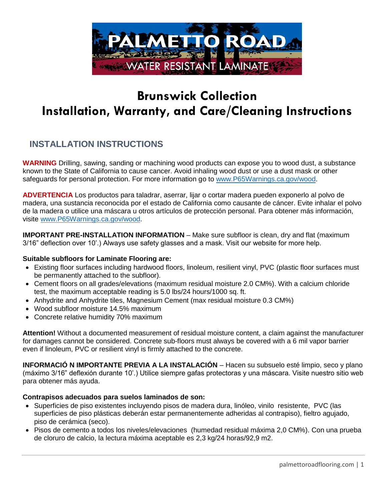

# **Brunswick Collection Installation, Warranty, and Care/Cleaning Instructions**

# **INSTALLATION INSTRUCTIONS**

**WARNING** Drilling, sawing, sanding or machining wood products can expose you to wood dust, a substance known to the State of California to cause cancer. Avoid inhaling wood dust or use a dust mask or other safeguards for personal protection. For more information go to [www.P65Warnings.ca.gov/wood.](http://www.p65warnings.ca.gov/wood)

**ADVERTENCIA** Los productos para taladrar, aserrar, lijar o cortar madera pueden exponerlo al polvo de madera, una sustancia reconocida por el estado de California como causante de cáncer. Evite inhalar el polvo de la madera o utilice una máscara u otros artículos de protección personal. Para obtener más información, visite [www.P65Warnings.ca.gov/wood.](http://www.p65warnings.ca.gov/wood)

**IMPORTANT PRE-INSTALLATION INFORMATION** – Make sure subfloor is clean, dry and flat (maximum 3/16" deflection over 10'.) Always use safety glasses and a mask. Visit our website for more help.

#### **Suitable subfloors for Laminate Flooring are:**

- Existing floor surfaces including hardwood floors, linoleum, resilient vinyl, PVC (plastic floor surfaces must be permanently attached to the subfloor).
- Cement floors on all grades/elevations (maximum residual moisture 2.0 CM%). With a calcium chloride test, the maximum acceptable reading is 5.0 lbs/24 hours/1000 sq. ft.
- Anhydrite and Anhydrite tiles, Magnesium Cement (max residual moisture 0.3 CM%)
- Wood subfloor moisture 14.5% maximum
- Concrete relative humidity 70% maximum

**Attention!** Without a documented measurement of residual moisture content, a claim against the manufacturer for damages cannot be considered. Concrete sub-floors must always be covered with a 6 mil vapor barrier even if linoleum, PVC or resilient vinyl is firmly attached to the concrete.

**INFORMACIÓ N IMPORTANTE PREVIA A LA INSTALACIÓN** – Hacen su subsuelo esté limpio, seco y plano (máximo 3/16" deflexión durante 10'.) Utilice siempre gafas protectoras y una máscara. Visite nuestro sitio web para obtener más ayuda.

#### **Contrapisos adecuados para suelos laminados de son:**

- Superficies de piso existentes incluyendo pisos de madera dura, linóleo, vinilo resistente, PVC (las superficies de piso plásticas deberán estar permanentemente adheridas al contrapiso), fieltro agujado, piso de cerámica (seco).
- Pisos de cemento a todos los niveles/elevaciones (humedad residual máxima 2,0 CM%). Con una prueba de cloruro de calcio, la lectura máxima aceptable es 2,3 kg/24 horas/92,9 m2.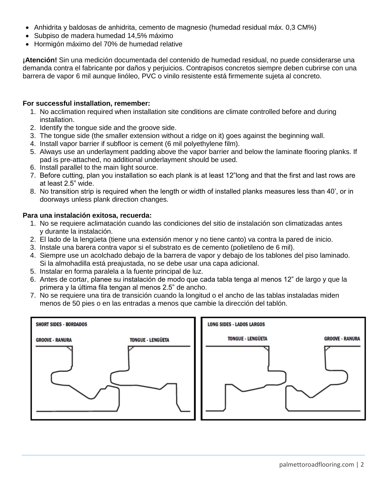- Anhidrita y baldosas de anhidrita, cemento de magnesio (humedad residual máx. 0,3 CM%)
- Subpiso de madera humedad 14,5% máximo
- Hormigón máximo del 70% de humedad relative

**¡Atención!** Sin una medición documentada del contenido de humedad residual, no puede considerarse una demanda contra el fabricante por daños y perjuicios. Contrapisos concretos siempre deben cubrirse con una barrera de vapor 6 mil aunque linóleo, PVC o vinilo resistente está firmemente sujeta al concreto.

#### **For successful installation, remember:**

- 1. No acclimation required when installation site conditions are climate controlled before and during installation.
- 2. Identify the tongue side and the groove side.
- 3. The tongue side (the smaller extension without a ridge on it) goes against the beginning wall.
- 4. Install vapor barrier if subfloor is cement (6 mil polyethylene film).
- 5. Always use an underlayment padding above the vapor barrier and below the laminate flooring planks. If pad is pre-attached, no additional underlayment should be used.
- 6. Install parallel to the main light source.
- 7. Before cutting, plan you installation so each plank is at least 12"long and that the first and last rows are at least 2.5" wide.
- 8. No transition strip is required when the length or width of installed planks measures less than 40', or in doorways unless plank direction changes.

#### **Para una instalación exitosa, recuerda:**

- 1. No se requiere aclimatación cuando las condiciones del sitio de instalación son climatizadas antes y durante la instalación.
- 2. El lado de la lengüeta (tiene una extensión menor y no tiene canto) va contra la pared de inicio.
- 3. Instale una barera contra vapor si el substrato es de cemento (polietileno de 6 mil).
- 4. Siempre use un acolchado debajo de la barrera de vapor y debajo de los tablones del piso laminado. Si la almohadilla está preajustada, no se debe usar una capa adicional.
- 5. Instalar en forma paralela a la fuente principal de luz.
- 6. Antes de cortar, planee su instalación de modo que cada tabla tenga al menos 12" de largo y que la primera y la última fila tengan al menos 2.5" de ancho.
- 7. No se requiere una tira de transición cuando la longitud o el ancho de las tablas instaladas miden menos de 50 pies o en las entradas a menos que cambie la dirección del tablón.



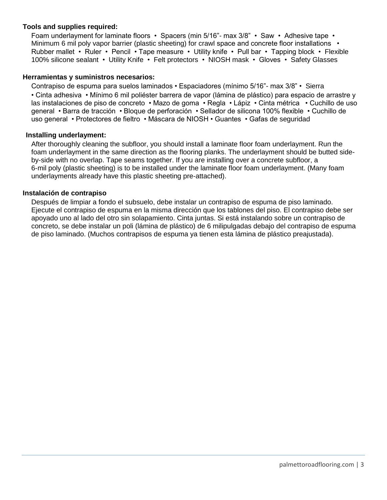#### **Tools and supplies required:**

Foam underlayment for laminate floors • Spacers (min 5/16"- max 3/8" • Saw • Adhesive tape • Minimum 6 mil poly vapor barrier (plastic sheeting) for crawl space and concrete floor installations • Rubber mallet • Ruler • Pencil • Tape measure • Utility knife • Pull bar • Tapping block • Flexible 100% silicone sealant • Utility Knife • Felt protectors • NIOSH mask • Gloves • Safety Glasses

#### **Herramientas y suministros necesarios:**

Contrapiso de espuma para suelos laminados • Espaciadores (mínimo 5/16"- max 3/8" • Sierra • Cinta adhesiva • Mínimo 6 mil poliéster barrera de vapor (lámina de plástico) para espacio de arrastre y las instalaciones de piso de concreto • Mazo de goma • Regla • Lápiz • Cinta métrica • Cuchillo de uso general • Barra de tracción • Bloque de perforación • Sellador de silicona 100% flexible • Cuchillo de uso general • Protectores de fieltro • Máscara de NIOSH • Guantes • Gafas de seguridad

#### **Installing underlayment:**

After thoroughly cleaning the subfloor, you should install a laminate floor foam underlayment. Run the foam underlayment in the same direction as the flooring planks. The underlayment should be butted sideby-side with no overlap. Tape seams together. If you are installing over a concrete subfloor, a 6-mil poly (plastic sheeting) is to be installed under the laminate floor foam underlayment. (Many foam underlayments already have this plastic sheeting pre-attached).

#### **Instalación de contrapiso**

Después de limpiar a fondo el subsuelo, debe instalar un contrapiso de espuma de piso laminado. Ejecute el contrapiso de espuma en la misma dirección que los tablones del piso. El contrapiso debe ser apoyado uno al lado del otro sin solapamiento. Cinta juntas. Si está instalando sobre un contrapiso de concreto, se debe instalar un poli (lámina de plástico) de 6 milipulgadas debajo del contrapiso de espuma de piso laminado. (Muchos contrapisos de espuma ya tienen esta lámina de plástico preajustada).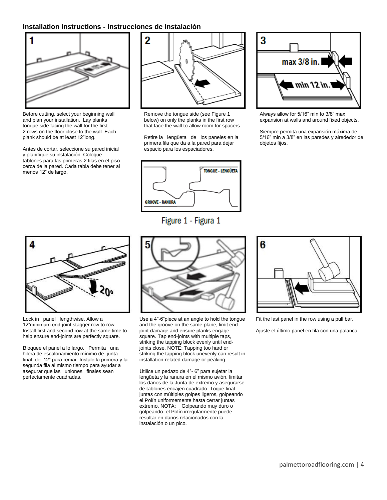#### **Installation instructions - Instrucciones de instalación**



Before cutting, select your beginning wall and plan your installation. Lay planks tongue side facing the wall for the first 2 rows on the floor close to the wall. Each plank should be at least 12"long.

Antes de cortar, seleccione su pared inicial y planifique su instalación. Coloque tablones para las primeras 2 filas en el piso cerca de la pared. Cada tabla debe tener al menos 12" de largo.



Remove the tongue side (see Figure 1 below) on only the planks in the first row that face the wall to allow room for spacers.

Retire la lengüeta de los paneles en la primera fila que da a la pared para dejar espacio para los espaciadores.



Figure 1 - Figura 1



Always allow for 5/16" min to 3/8" max expansion at walls and around fixed objects.

Siempre permita una expansión máxima de 5/16" min a 3/8" en las paredes y alrededor de objetos fijos.



Lock in panel lengthwise. Allow a 12"minimum end-joint stagger row to row. Install first and second row at the same time to help ensure end-joints are perfectly square.

Bloquee el panel a lo largo. Permita una hilera de escalonamiento mínimo de junta final de 12" para remar. Instale la primera y la segunda fila al mismo tiempo para ayudar a asegurar que las uniones finales sean perfectamente cuadradas.



Use a 4"-6"piece at an angle to hold the tongue and the groove on the same plane, limit endjoint damage and ensure planks engage square. Tap end-joints with multiple taps, striking the tapping block evenly until endjoints close. NOTE: Tapping too hard or striking the tapping block unevenly can result in installation-related damage or peaking.

Utilice un pedazo de 4"- 6" para sujetar la lengüeta y la ranura en el mismo avión, limitar los daños de la Junta de extremo y asegurarse de tablones encajen cuadrado. Toque final juntas con múltiples golpes ligeros, golpeando el Polín uniformemente hasta cerrar juntas extremo. NOTA: Golpeando muy duro o golpeando el Polín irregularmente puede resultar en daños relacionados con la instalación o un pico.



Fit the last panel in the row using a pull bar.

Ajuste el último panel en fila con una palanca.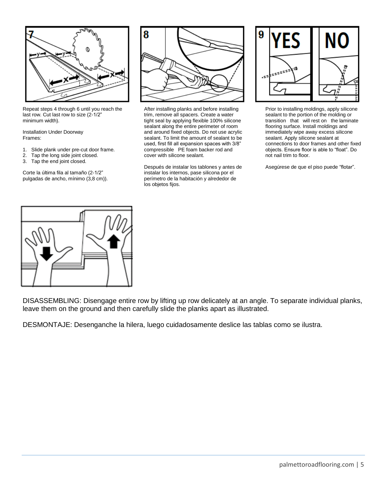

Repeat steps 4 through 6 until you reach the last row. Cut last row to size (2-1/2" minimum width).

Installation Under Doorway Frames:

- 1. Slide plank under pre-cut door frame.<br>2. Tap the long side joint closed.
- Tap the long side joint closed.
- 3. Tap the end joint closed.

Corte la última fila al tamaño (2-1/2" pulgadas de ancho, mínimo (3,8 cm)).



After installing planks and before installing trim, remove all spacers. Create a water tight seal by applying flexible 100% silicone sealant along the entire perimeter of room and around fixed objects. Do not use acrylic sealant. To limit the amount of sealant to be used, first fill all expansion spaces with 3/8" compressible PE foam backer rod and cover with silicone sealant.

Después de instalar los tablones y antes de instalar los internos, pase silicona por el perímetro de la habitación y alrededor de los objetos fijos.



Prior to installing moldings, apply silicone sealant to the portion of the molding or transition that will rest on the laminate flooring surface. Install moldings and immediately wipe away excess silicone sealant. Apply silicone sealant at connections to door frames and other fixed objects. Ensure floor is able to "float". Do not nail trim to floor.

Asegúrese de que el piso puede "flotar".



DISASSEMBLING: Disengage entire row by lifting up row delicately at an angle. To separate individual planks, leave them on the ground and then carefully slide the planks apart as illustrated.

DESMONTAJE: Desenganche la hilera, luego cuidadosamente deslice las tablas como se ilustra.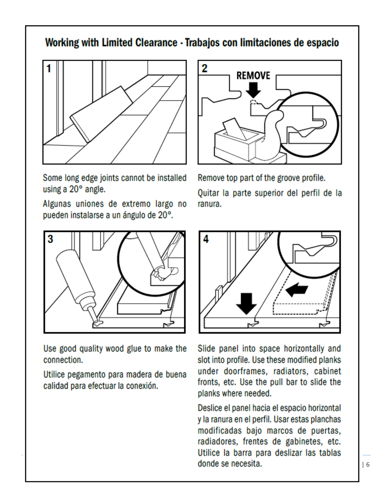# Working with Limited Clearance - Trabajos con limitaciones de espacio





Some long edge joints cannot be installed using a 20° angle.

Algunas uniones de extremo largo no pueden instalarse a un ángulo de 20°.



Use good quality wood glue to make the connection.

Utilice pegamento para madera de buena calidad para efectuar la conexión.

Remove top part of the groove profile.

Quitar la parte superior del perfil de la ranura.



Slide panel into space horizontally and slot into profile. Use these modified planks under doorframes, radiators, cabinet fronts, etc. Use the pull bar to slide the planks where needed.

Deslice el panel hacia el espacio horizontal y la ranura en el perfil. Usar estas planchas modificadas bajo marcos de puertas, radiadores, frentes de gabinetes, etc. Utilice la barra para deslizar las tablas donde se necesita. palmettoroadflooring.com | 6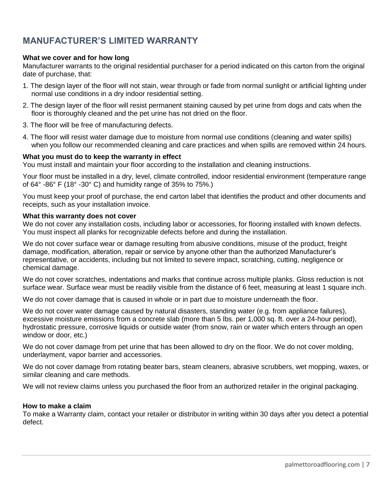## **MANUFACTURER'S LIMITED WARRANTY**

#### **What we cover and for how long**

Manufacturer warrants to the original residential purchaser for a period indicated on this carton from the original date of purchase, that:

- 1. The design layer of the floor will not stain, wear through or fade from normal sunlight or artificial lighting under normal use conditions in a dry indoor residential setting.
- 2. The design layer of the floor will resist permanent staining caused by pet urine from dogs and cats when the floor is thoroughly cleaned and the pet urine has not dried on the floor.
- 3. The floor will be free of manufacturing defects.
- 4. The floor will resist water damage due to moisture from normal use conditions (cleaning and water spills) when you follow our recommended cleaning and care practices and when spills are removed within 24 hours.

#### **What you must do to keep the warranty in effect**

You must install and maintain your floor according to the installation and cleaning instructions.

Your floor must be installed in a dry, level, climate controlled, indoor residential environment (temperature range of 64° -86° F (18° -30° C) and humidity range of 35% to 75%.)

You must keep your proof of purchase, the end carton label that identifies the product and other documents and receipts, such as your installation invoice.

#### **What this warranty does not cover**

We do not cover any installation costs, including labor or accessories, for flooring installed with known defects. You must inspect all planks for recognizable defects before and during the installation.

We do not cover surface wear or damage resulting from abusive conditions, misuse of the product, freight damage, modification, alteration, repair or service by anyone other than the authorized Manufacturer's representative, or accidents, including but not limited to severe impact, scratching, cutting, negligence or chemical damage.

We do not cover scratches, indentations and marks that continue across multiple planks. Gloss reduction is not surface wear. Surface wear must be readily visible from the distance of 6 feet, measuring at least 1 square inch.

We do not cover damage that is caused in whole or in part due to moisture underneath the floor.

We do not cover water damage caused by natural disasters, standing water (e.g. from appliance failures), excessive moisture emissions from a concrete slab (more than 5 lbs. per 1,000 sq. ft. over a 24-hour period), hydrostatic pressure, corrosive liquids or outside water (from snow, rain or water which enters through an open window or door, etc.)

We do not cover damage from pet urine that has been allowed to dry on the floor. We do not cover molding, underlayment, vapor barrier and accessories.

We do not cover damage from rotating beater bars, steam cleaners, abrasive scrubbers, wet mopping, waxes, or similar cleaning and care methods.

We will not review claims unless you purchased the floor from an authorized retailer in the original packaging.

#### **How to make a claim**

To make a Warranty claim, contact your retailer or distributor in writing within 30 days after you detect a potential defect.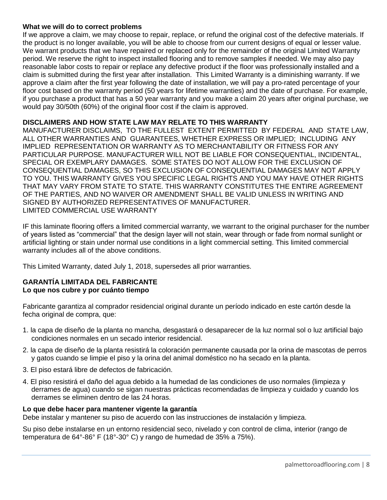#### **What we will do to correct problems**

If we approve a claim, we may choose to repair, replace, or refund the original cost of the defective materials. If the product is no longer available, you will be able to choose from our current designs of equal or lesser value. We warrant products that we have repaired or replaced only for the remainder of the original Limited Warranty period. We reserve the right to inspect installed flooring and to remove samples if needed. We may also pay reasonable labor costs to repair or replace any defective product if the floor was professionally installed and a claim is submitted during the first year after installation. This Limited Warranty is a diminishing warranty. If we approve a claim after the first year following the date of installation, we will pay a pro-rated percentage of your floor cost based on the warranty period (50 years for lifetime warranties) and the date of purchase. For example, if you purchase a product that has a 50 year warranty and you make a claim 20 years after original purchase, we would pay 30/50th (60%) of the original floor cost if the claim is approved.

### **DISCLAIMERS AND HOW STATE LAW MAY RELATE TO THIS WARRANTY**

MANUFACTURER DISCLAIMS, TO THE FULLEST EXTENT PERMITTED BY FEDERAL AND STATE LAW, ALL OTHER WARRANTIES AND GUARANTEES, WHETHER EXPRESS OR IMPLIED; INCLUDING ANY IMPLIED REPRESENTATION OR WARRANTY AS TO MERCHANTABILITY OR FITNESS FOR ANY PARTICULAR PURPOSE. MANUFACTURER WILL NOT BE LIABLE FOR CONSEQUENTIAL, INCIDENTAL, SPECIAL OR EXEMPLARY DAMAGES. SOME STATES DO NOT ALLOW FOR THE EXCLUSION OF CONSEQUENTIAL DAMAGES, SO THIS EXCLUSION OF CONSEQUENTIAL DAMAGES MAY NOT APPLY TO YOU. THIS WARRANTY GIVES YOU SPECIFIC LEGAL RIGHTS AND YOU MAY HAVE OTHER RIGHTS THAT MAY VARY FROM STATE TO STATE. THIS WARRANTY CONSTITUTES THE ENTIRE AGREEMENT OF THE PARTIES, AND NO WAIVER OR AMENDMENT SHALL BE VALID UNLESS IN WRITING AND SIGNED BY AUTHORIZED REPRESENTATIVES OF MANUFACTURER. LIMITED COMMERCIAL USE WARRANTY

IF this laminate flooring offers a limited commercial warranty, we warrant to the original purchaser for the number of years listed as "commercial" that the design layer will not stain, wear through or fade from normal sunlight or artificial lighting or stain under normal use conditions in a light commercial setting. This limited commercial warranty includes all of the above conditions.

This Limited Warranty, dated July 1, 2018, supersedes all prior warranties.

#### **GARANTÍA LIMITADA DEL FABRICANTE Lo que nos cubre y por cuánto tiempo**

Fabricante garantiza al comprador residencial original durante un período indicado en este cartón desde la fecha original de compra, que:

- 1. la capa de diseño de la planta no mancha, desgastará o desaparecer de la luz normal sol o luz artificial bajo condiciones normales en un secado interior residencial.
- 2. la capa de diseño de la planta resistirá la coloración permanente causada por la orina de mascotas de perros y gatos cuando se limpie el piso y la orina del animal doméstico no ha secado en la planta.
- 3. El piso estará libre de defectos de fabricación.
- 4. El piso resistirá el daño del agua debido a la humedad de las condiciones de uso normales (limpieza y derrames de agua) cuando se sigan nuestras prácticas recomendadas de limpieza y cuidado y cuando los derrames se eliminen dentro de las 24 horas.

#### **Lo que debe hacer para mantener vigente la garantía**

Debe instalar y mantener su piso de acuerdo con las instrucciones de instalación y limpieza.

Su piso debe instalarse en un entorno residencial seco, nivelado y con control de clima, interior (rango de temperatura de 64°-86° F (18°-30° C) y rango de humedad de 35% a 75%).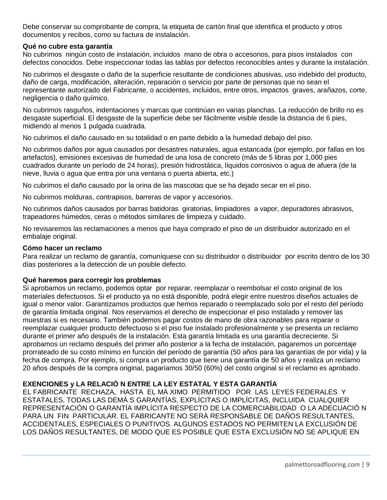Debe conservar su comprobante de compra, la etiqueta de cartón final que identifica el producto y otros documentos y recibos, como su factura de instalación.

#### **Qué no cubre esta garantía**

No cubrimos ningún costo de instalación, incluidos mano de obra o accesorios, para pisos instalados con defectos conocidos. Debe inspeccionar todas las tablas por defectos reconocibles antes y durante la instalación.

No cubrimos el desgaste o daño de la superficie resultante de condiciones abusivas, uso indebido del producto, daño de carga, modificación, alteración, reparación o servicio por parte de personas que no sean el representante autorizado del Fabricante, o accidentes, incluidos, entre otros, impactos graves, arañazos, corte, negligencia o daño químico.

No cubrimos rasguños, indentaciones y marcas que continúan en varias planchas. La reducción de brillo no es desgaste superficial. El desgaste de la superficie debe ser fácilmente visible desde la distancia de 6 pies, midiendo al menos 1 pulgada cuadrada.

No cubrimos el daño causado en su totalidad o en parte debido a la humedad debajo del piso.

No cubrimos daños por agua causados por desastres naturales, agua estancada (por ejemplo, por fallas en los artefactos), emisiones excesivas de humedad de una losa de concreto (más de 5 libras por 1,000 pies cuadrados durante un período de 24 horas), presión hidrostática, líquidos corrosivos o agua de afuera (de la nieve, lluvia o agua que entra por una ventana o puerta abierta, etc.)

No cubrimos el daño causado por la orina de las mascotas que se ha dejado secar en el piso.

No cubrimos molduras, contrapisos, barreras de vapor y accesorios.

No cubrimos daños causados por barras batidoras giratorias, limpiadores a vapor, depuradores abrasivos, trapeadores húmedos, ceras o métodos similares de limpieza y cuidado.

No revisaremos las reclamaciones a menos que haya comprado el piso de un distribuidor autorizado en el embalaje original.

#### **Cómo hacer un reclamo**

Para realizar un reclamo de garantía, comuníquese con su distribuidor o distribuidor por escrito dentro de los 30 días posteriores a la detección de un posible defecto.

#### **Qué haremos para corregir los problemas**

Si aprobamos un reclamo, podemos optar por reparar, reemplazar o reembolsar el costo original de los materiales defectuosos. Si el producto ya no está disponible, podrá elegir entre nuestros diseños actuales de igual o menor valor. Garantizamos productos que hemos reparado o reemplazado solo por el resto del período de garantía limitada original. Nos reservamos el derecho de inspeccionar el piso instalado y remover las muestras si es necesario. También podemos pagar costos de mano de obra razonables para reparar o reemplazar cualquier producto defectuoso si el piso fue instalado profesionalmente y se presenta un reclamo durante el primer año después de la instalación. Esta garantía limitada es una garantía decreciente. Si aprobamos un reclamo después del primer año posterior a la fecha de instalación, pagaremos un porcentaje prorrateado de su costo mínimo en función del período de garantía (50 años para las garantías de por vida) y la fecha de compra. Por ejemplo, si compra un producto que tiene una garantía de 50 años y realiza un reclamo 20 años después de la compra original, pagaríamos 30/50 (60%) del costo original si el reclamo es aprobado.

#### **EXENCIONES y LA RELACIÓ N ENTRE LA LEY ESTATAL Y ESTA GARANTÍA**

EL FABRICANTE RECHAZA, HASTA EL MÁ XIMO PERMITIDO POR LAS LEYES FEDERALES Y ESTATALES, TODAS LAS DEMÁ S GARANTÍAS, EXPLÍCITAS O IMPLÍCITAS, INCLUIDA CUALQUIER REPRESENTACIÓN O GARANTÍA IMPLÍCITA RESPECTO DE LA COMERCIABILIDAD O LA ADECUACIÓ N PARA UN FIN PARTICULAR. EL FABRICANTE NO SERÁ RESPONSABLE DE DAÑOS RESULTANTES, ACCIDENTALES, ESPECIALES O PUNITIVOS. ALGUNOS ESTADOS NO PERMITEN LA EXCLUSIÓN DE LOS DAÑOS RESULTANTES, DE MODO QUE ES POSIBLE QUE ESTA EXCLUSIÓN NO SE APLIQUE EN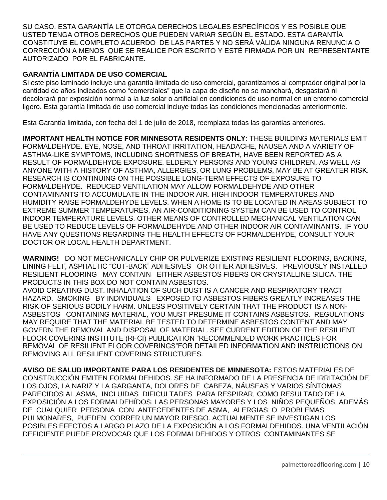SU CASO. ESTA GARANTÍA LE OTORGA DERECHOS LEGALES ESPECÍFICOS Y ES POSIBLE QUE USTED TENGA OTROS DERECHOS QUE PUEDEN VARIAR SEGÚN EL ESTADO. ESTA GARANTÍA CONSTITUYE EL COMPLETO ACUERDO DE LAS PARTES Y NO SERÁ VÁLIDA NINGUNA RENUNCIA O CORRECCIÓN A MENOS QUE SE REALICE POR ESCRITO Y ESTÉ FIRMADA POR UN REPRESENTANTE AUTORIZADO POR EL FABRICANTE.

#### **GARANTÍA LIMITADA DE USO COMERCIAL**

Si este piso laminado incluye una garantía limitada de uso comercial, garantizamos al comprador original por la cantidad de años indicados como "comerciales" que la capa de diseño no se manchará, desgastará ni decolorará por exposición normal a la luz solar o artificial en condiciones de uso normal en un entorno comercial ligero. Esta garantía limitada de uso comercial incluye todas las condiciones mencionadas anteriormente.

Esta Garantía limitada, con fecha del 1 de julio de 2018, reemplaza todas las garantías anteriores.

**IMPORTANT HEALTH NOTICE FOR MINNESOTA RESIDENTS ONLY**: THESE BUILDING MATERIALS EMIT FORMALDEHYDE. EYE, NOSE, AND THROAT IRRITATION, HEADACHE, NAUSEA AND A VARIETY OF ASTHMA-LIKE SYMPTOMS, INCLUDING SHORTNESS OF BREATH, HAVE BEEN REPORTED AS A RESULT OF FORMALDEHYDE EXPOSURE. ELDERLY PERSONS AND YOUNG CHILDREN, AS WELL AS ANYONE WITH A HISTORY OF ASTHMA, ALLERGIES, OR LUNG PROBLEMS, MAY BE AT GREATER RISK. RESEARCH IS CONTINUING ON THE POSSIBLE LONG-TERM EFFECTS OF EXPOSURE TO FORMALDEHYDE. REDUCED VENTILATION MAY ALLOW FORMALDEHYDE AND OTHER CONTAMINANTS TO ACCUMULATE IN THE INDOOR AIR. HIGH INDOOR TEMPERATURES AND HUMIDITY RAISE FORMALDEHYDE LEVELS. WHEN A HOME IS TO BE LOCATED IN AREAS SUBJECT TO EXTREME SUMMER TEMPERATURES, AN AIR-CONDITIONING SYSTEM CAN BE USED TO CONTROL INDOOR TEMPERATURE LEVELS. OTHER MEANS OF CONTROLLED MECHANICAL VENTILATION CAN BE USED TO REDUCE LEVELS OF FORMALDEHYDE AND OTHER INDOOR AIR CONTAMINANTS. IF YOU HAVE ANY QUESTIONS REGARDING THE HEALTH EFFECTS OF FORMALDEHYDE, CONSULT YOUR DOCTOR OR LOCAL HEALTH DEPARTMENT.

**WARNING!** DO NOT MECHANICALLY CHIP OR PULVERIZE EXISTING RESILIENT FLOORING, BACKING, LINING FELT, ASPHALTIC "CUT-BACK" ADHESIVES OR OTHER ADHESIVES. PREVIOUSLY INSTALLED RESILIENT FLOORING MAY CONTAIN EITHER ASBESTOS FIBERS OR CRYSTALLINE SILICA. THE PRODUCTS IN THIS BOX DO NOT CONTAIN ASBESTOS.

AVOID CREATING DUST. INHALATION OF SUCH DUST IS A CANCER AND RESPIRATORY TRACT HAZARD. SMOKING BY INDIVIDUALS EXPOSED TO ASBESTOS FIBERS GREATLY INCREASES THE RISK OF SERIOUS BODILY HARM. UNLESS POSITIVELY CERTAIN THAT THE PRODUCT IS A NON-ASBESTOS CONTAINING MATERIAL, YOU MUST PRESUME IT CONTAINS ASBESTOS. REGULATIONS MAY REQUIRE THAT THE MATERIAL BE TESTED TO DETERMINE ASBESTOS CONTENT AND MAY GOVERN THE REMOVAL AND DISPOSAL OF MATERIAL. SEE CURRENT EDITION OF THE RESILIENT FLOOR COVERING INSTITUTE (RFCI) PUBLICATION "RECOMMENDED WORK PRACTICES FOR REMOVAL OF RESILIENT FLOOR COVERINGS"FOR DETAILED INFORMATION AND INSTRUCTIONS ON REMOVING ALL RESILIENT COVERING STRUCTURES.

**AVISO DE SALUD IMPORTANTE PARA LOS RESIDENTES DE MINNESOTA:** ESTOS MATERIALES DE CONSTRUCCIÓN EMITEN FORMALDEHIDOS. SE HA INFORMADO DE LA PRESENCIA DE IRRITACIÓN DE LOS OJOS, LA NARIZ Y LA GARGANTA, DOLORES DE CABEZA, NÁUSEAS Y VARIOS SÍNTOMAS PARECIDOS AL ASMA, INCLUIDAS DIFICULTADES PARA RESPIRAR, COMO RESULTADO DE LA EXPOSICIÓN A LOS FORMALDEHÍDOS. LAS PERSONAS MAYORES Y LOS NIÑOS PEQUEÑOS, ADEMÁS DE CUALQUIER PERSONA CON ANTECEDENTES DE ASMA, ALERGIAS O PROBLEMAS PULMONARES, PUEDEN CORRER UN MAYOR RIESGO. ACTUALMENTE SE INVESTIGAN LOS POSIBLES EFECTOS A LARGO PLAZO DE LA EXPOSICIÓN A LOS FORMALDEHIDOS. UNA VENTILACIÓN DEFICIENTE PUEDE PROVOCAR QUE LOS FORMALDEHIDOS Y OTROS CONTAMINANTES SE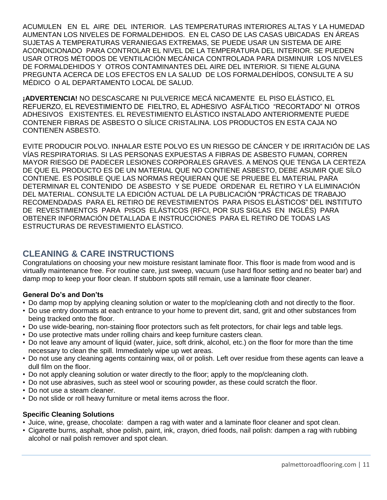ACUMULEN EN EL AIRE DEL INTERIOR. LAS TEMPERATURAS INTERIORES ALTAS Y LA HUMEDAD AUMENTAN LOS NIVELES DE FORMALDEHIDOS. EN EL CASO DE LAS CASAS UBICADAS EN ÁREAS SUJETAS A TEMPERATURAS VERANIEGAS EXTREMAS, SE PUEDE USAR UN SISTEMA DE AIRE ACONDICIONADO PARA CONTROLAR EL NIVEL DE LA TEMPERATURA DEL INTERIOR. SE PUEDEN USAR OTROS MÉTODOS DE VENTILACIÓN MECÁNICA CONTROLADA PARA DISMINUIR LOS NIVELES DE FORMALDEHIDOS Y OTROS CONTAMINANTES DEL AIRE DEL INTERIOR. SI TIENE ALGUNA PREGUNTA ACERCA DE LOS EFECTOS EN LA SALUD DE LOS FORMALDEHÍDOS, CONSULTE A SU MÉDICO O AL DEPARTAMENTO LOCAL DE SALUD.

**¡ADVERTENCIA!** NO DESCASCARE NI PULVERICE MECÁ NICAMENTE EL PISO ELÁSTICO, EL REFUERZO, EL REVESTIMIENTO DE FIELTRO, EL ADHESIVO ASFÁLTICO "RECORTADO" NI OTROS ADHESIVOS EXISTENTES. EL REVESTIMIENTO ELÁSTICO INSTALADO ANTERIORMENTE PUEDE CONTENER FIBRAS DE ASBESTO O SÍLICE CRISTALINA. LOS PRODUCTOS EN ESTA CAJA NO CONTIENEN ASBESTO.

EVITE PRODUCIR POLVO. INHALAR ESTE POLVO ES UN RIESGO DE CÁNCER Y DE IRRITACIÓN DE LAS VÍAS RESPIRATORIAS. SI LAS PERSONAS EXPUESTAS A FIBRAS DE ASBESTO FUMAN, CORREN MAYOR RIESGO DE PADECER LESIONES CORPORALES GRAVES. A MENOS QUE TENGA LA CERTEZA DE QUE EL PRODUCTO ES DE UN MATERIAL QUE NO CONTIENE ASBESTO, DEBE ASUMIR QUE SÍLO CONTIENE. ES POSIBLE QUE LAS NORMAS REQUIERAN QUE SE PRUEBE EL MATERIAL PARA DETERMINAR EL CONTENIDO DE ASBESTO Y SE PUEDE ORDENAR EL RETIRO Y LA ELIMINACIÓN DEL MATERIAL. CONSULTE LA EDICIÓN ACTUAL DE LA PUBLICACIÓN "PRÁCTICAS DE TRABAJO RECOMENDADAS PARA EL RETIRO DE REVESTIMIENTOS PARA PISOS ELÁSTICOS" DEL INSTITUTO DE REVESTIMIENTOS PARA PISOS ELÁSTICOS (RFCI, POR SUS SIGLAS EN INGLÉS) PARA OBTENER INFORMACIÓN DETALLADA E INSTRUCCIONES PARA EL RETIRO DE TODAS LAS ESTRUCTURAS DE REVESTIMIENTO ELÁSTICO.

# **CLEANING & CARE INSTRUCTIONS**

Congratulations on choosing your new moisture resistant laminate floor. This floor is made from wood and is virtually maintenance free. For routine care, just sweep, vacuum (use hard floor setting and no beater bar) and damp mop to keep your floor clean. If stubborn spots still remain, use a laminate floor cleaner.

### **General Do's and Don'ts**

- Do damp mop by applying cleaning solution or water to the mop/cleaning cloth and not directly to the floor.
- Do use entry doormats at each entrance to your home to prevent dirt, sand, grit and other substances from being tracked onto the floor.
- Do use wide-bearing, non-staining floor protectors such as felt protectors, for chair legs and table legs.
- Do use protective mats under rolling chairs and keep furniture casters clean.
- Do not leave any amount of liquid (water, juice, soft drink, alcohol, etc.) on the floor for more than the time necessary to clean the spill. Immediately wipe up wet areas.
- Do not use any cleaning agents containing wax, oil or polish. Left over residue from these agents can leave a dull film on the floor.
- Do not apply cleaning solution or water directly to the floor; apply to the mop/cleaning cloth.
- Do not use abrasives, such as steel wool or scouring powder, as these could scratch the floor.
- Do not use a steam cleaner.
- Do not slide or roll heavy furniture or metal items across the floor.

#### **Specific Cleaning Solutions**

- Juice, wine, grease, chocolate: dampen a rag with water and a laminate floor cleaner and spot clean.
- Cigarette burns, asphalt, shoe polish, paint, ink, crayon, dried foods, nail polish: dampen a rag with rubbing alcohol or nail polish remover and spot clean.